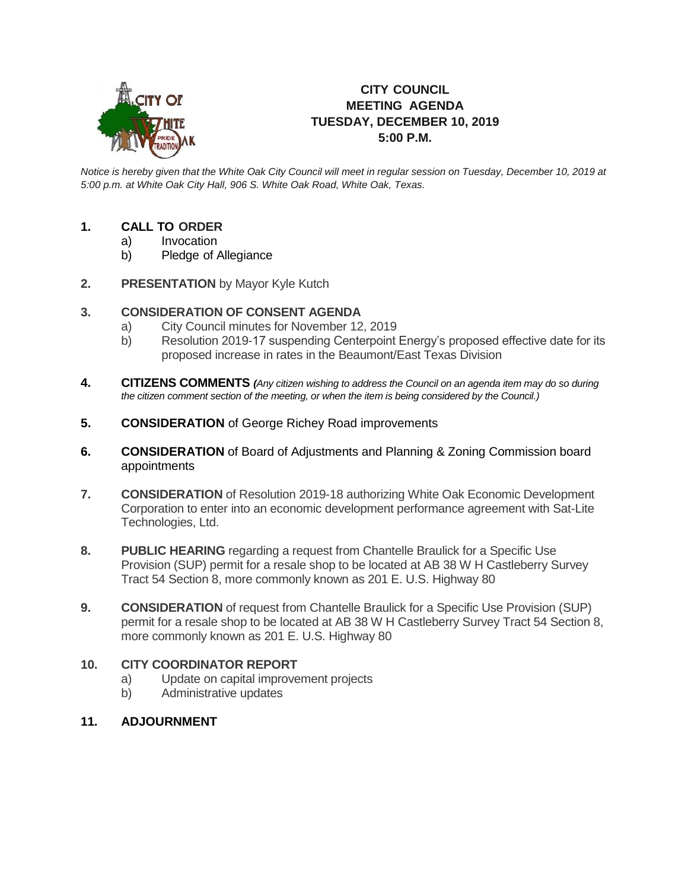

## **CITY COUNCIL MEETING AGENDA TUESDAY, DECEMBER 10, 2019 5:00 P.M.**

*Notice is hereby given that the White Oak City Council will meet in regular session on Tuesday, December 10, 2019 at 5:00 p.m. at White Oak City Hall, 906 S. White Oak Road, White Oak, Texas.*

## **1. CALL TO ORDER**

- a) Invocation
- b) Pledge of Allegiance
- **2. PRESENTATION** by Mayor Kyle Kutch

## **3. CONSIDERATION OF CONSENT AGENDA**

- a) City Council minutes for November 12, 2019
- b) Resolution 2019-17 suspending Centerpoint Energy's proposed effective date for its proposed increase in rates in the Beaumont/East Texas Division
- **4. CITIZENS COMMENTS** *(Any citizen wishing to address the Council on an agenda item may do so during the citizen comment section of the meeting, or when the item is being considered by the Council.)*
- **5. CONSIDERATION** of George Richey Road improvements
- **6. CONSIDERATION** of Board of Adjustments and Planning & Zoning Commission board appointments
- **7. CONSIDERATION** of Resolution 2019-18 authorizing White Oak Economic Development Corporation to enter into an economic development performance agreement with Sat-Lite Technologies, Ltd.
- **8. PUBLIC HEARING** regarding a request from Chantelle Braulick for a Specific Use Provision (SUP) permit for a resale shop to be located at AB 38 W H Castleberry Survey Tract 54 Section 8, more commonly known as 201 E. U.S. Highway 80
- **9. CONSIDERATION** of request from Chantelle Braulick for a Specific Use Provision (SUP) permit for a resale shop to be located at AB 38 W H Castleberry Survey Tract 54 Section 8, more commonly known as 201 E. U.S. Highway 80

## **10. CITY COORDINATOR REPORT**

- a) Update on capital improvement projects
- b) Administrative updates
- **11. ADJOURNMENT**